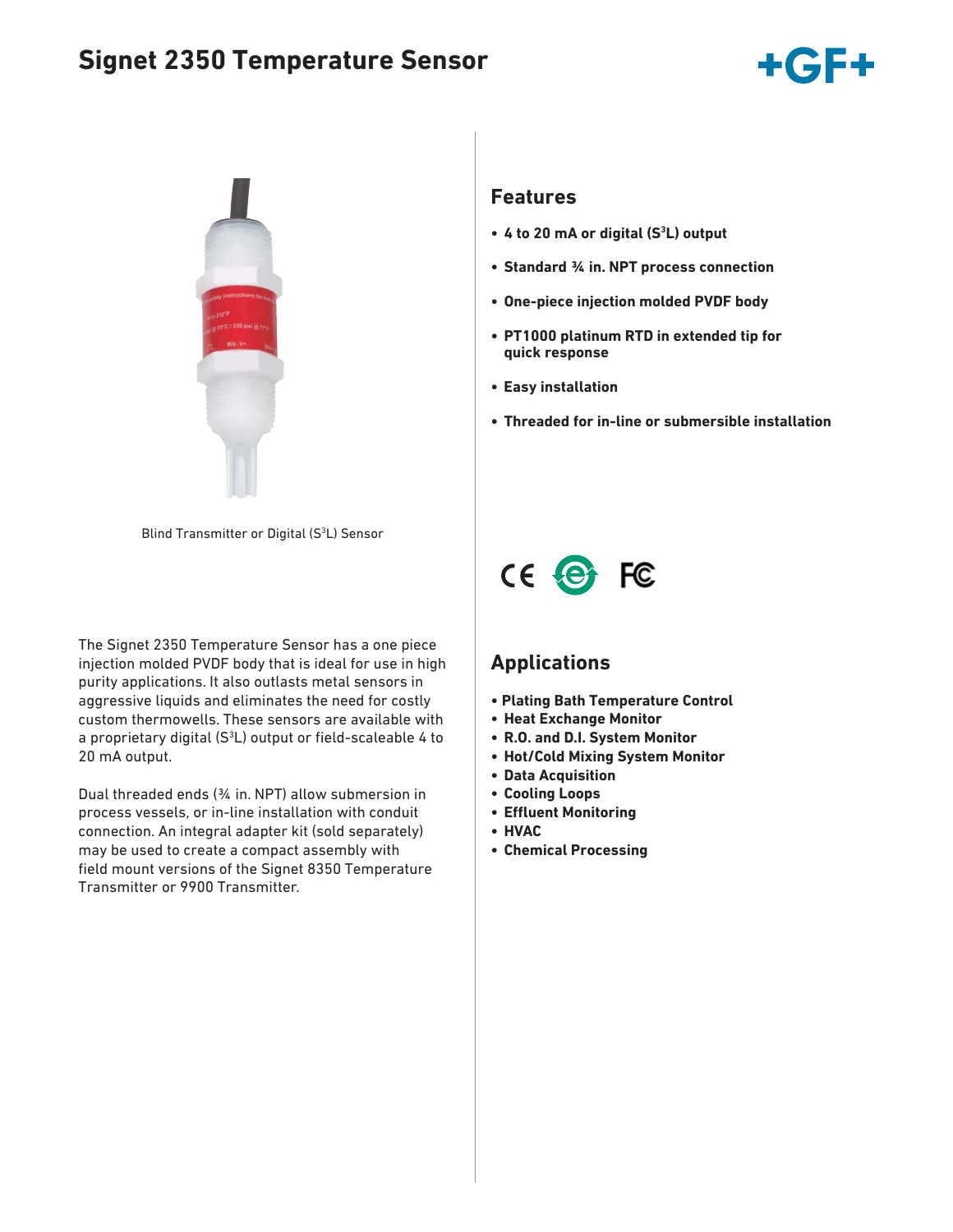# **Signet 2350 Temperature Sensor**





#### Blind Transmitter or Digital (S<sup>3</sup>L) Sensor

The Signet 2350 Temperature Sensor has a one piece injection molded PVDF body that is ideal for use in high purity applications. It also outlasts metal sensors in aggressive liquids and eliminates the need for costly custom thermowells. These sensors are available with a proprietary digital  $(S^3L)$  output or field-scaleable 4 to 20 mA output.

Dual threaded ends (¾ in. NPT) allow submersion in process vessels, or in-line installation with conduit connection. An integral adapter kit (sold separately) may be used to create a compact assembly with field mount versions of the Signet 8350 Temperature Transmitter or 9900 Transmitter.

### **Features**

- **4 to 20 mA or digital (S3 L) output**
- **Standard ¾ in. NPT process connection**
- **One-piece injection molded PVDF body**
- **PT1000 platinum RTD in extended tip for quick response**
- **Easy installation**
- **Threaded for in-line or submersible installation**



### **Applications**

- **Plating Bath Temperature Control**
- **Heat Exchange Monitor**
- **R.O. and D.I. System Monitor**
- **Hot/Cold Mixing System Monitor**
- **Data Acquisition**
- **Cooling Loops**
- **Effl uent Monitoring**
- **HVAC**
- **Chemical Processing**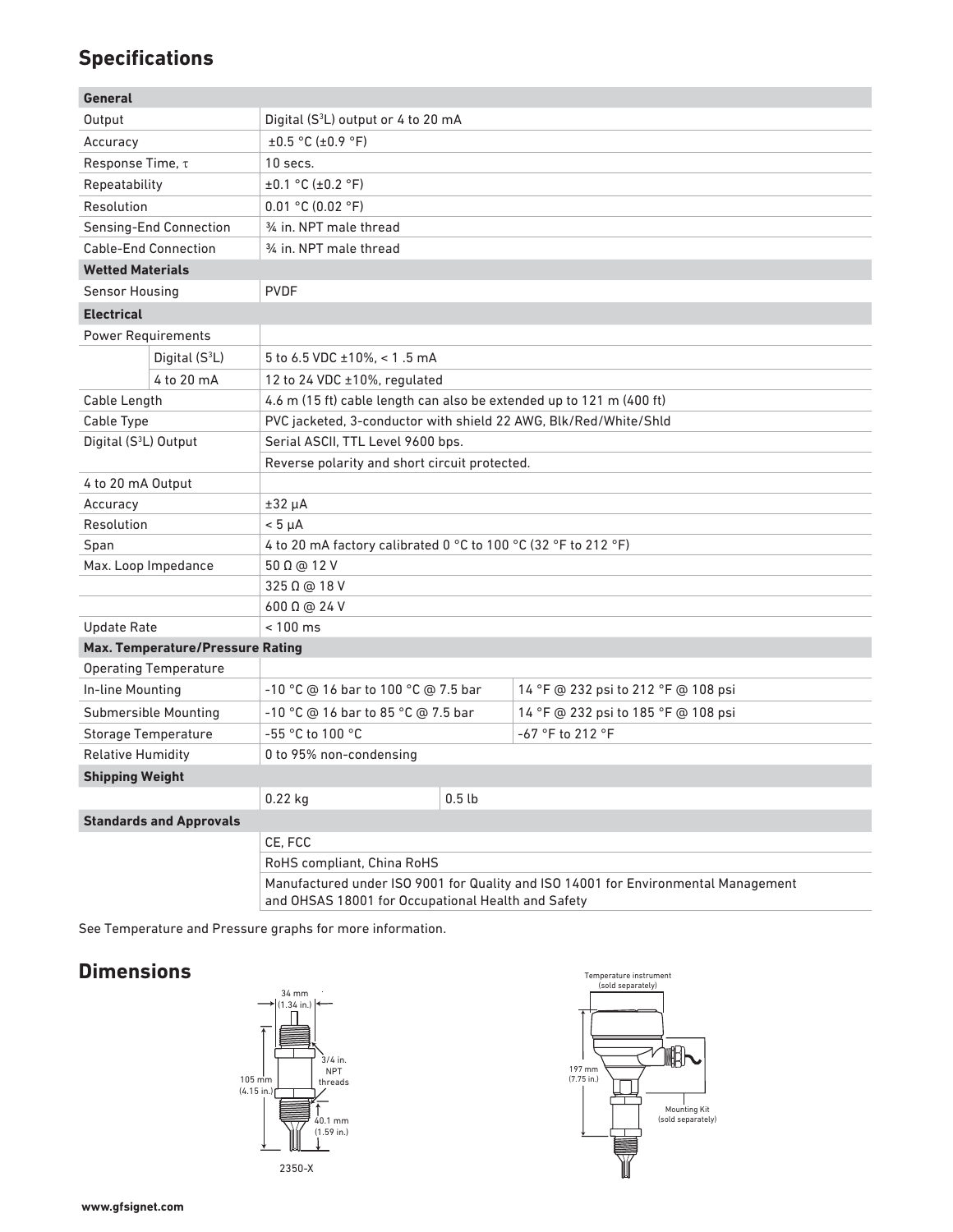# **Specifications**

| <b>General</b>                          |                                |                                                                                    |                   |                                     |  |  |
|-----------------------------------------|--------------------------------|------------------------------------------------------------------------------------|-------------------|-------------------------------------|--|--|
| Output                                  |                                | Digital (S <sup>3</sup> L) output or 4 to 20 mA                                    |                   |                                     |  |  |
| Accuracy                                |                                | $\pm 0.5$ °C ( $\pm 0.9$ °F)                                                       |                   |                                     |  |  |
| Response Time, τ                        |                                | 10 secs.                                                                           |                   |                                     |  |  |
| Repeatability                           |                                | ±0.1 °C (±0.2 °F)                                                                  |                   |                                     |  |  |
| Resolution                              |                                | 0.01 °C (0.02 °F)                                                                  |                   |                                     |  |  |
| Sensing-End Connection                  |                                | 34 in. NPT male thread                                                             |                   |                                     |  |  |
| <b>Cable-End Connection</b>             |                                | 34 in. NPT male thread                                                             |                   |                                     |  |  |
| <b>Wetted Materials</b>                 |                                |                                                                                    |                   |                                     |  |  |
| Sensor Housing                          |                                | <b>PVDF</b>                                                                        |                   |                                     |  |  |
| <b>Electrical</b>                       |                                |                                                                                    |                   |                                     |  |  |
| <b>Power Requirements</b>               |                                |                                                                                    |                   |                                     |  |  |
|                                         | Digital (S <sup>3</sup> L)     | 5 to 6.5 VDC ±10%, < 1.5 mA                                                        |                   |                                     |  |  |
|                                         | 4 to 20 mA                     | 12 to 24 VDC ±10%, regulated                                                       |                   |                                     |  |  |
| Cable Length                            |                                | 4.6 m (15 ft) cable length can also be extended up to 121 m (400 ft)               |                   |                                     |  |  |
| Cable Type                              |                                | PVC jacketed, 3-conductor with shield 22 AWG, Blk/Red/White/Shld                   |                   |                                     |  |  |
| Digital (S <sup>3</sup> L) Output       |                                | Serial ASCII, TTL Level 9600 bps.                                                  |                   |                                     |  |  |
|                                         |                                | Reverse polarity and short circuit protected.                                      |                   |                                     |  |  |
| 4 to 20 mA Output                       |                                |                                                                                    |                   |                                     |  |  |
| Accuracy                                |                                | ±32 μA                                                                             |                   |                                     |  |  |
| Resolution                              |                                | $< 5 \mu A$                                                                        |                   |                                     |  |  |
| Span                                    |                                | 4 to 20 mA factory calibrated 0 °C to 100 °C (32 °F to 212 °F)                     |                   |                                     |  |  |
| Max. Loop Impedance                     |                                | 50 Ω @ 12 V                                                                        |                   |                                     |  |  |
|                                         |                                | 325 Ω @ 18 V                                                                       |                   |                                     |  |  |
|                                         |                                | 600 Ω @ 24 V                                                                       |                   |                                     |  |  |
| <b>Update Rate</b>                      |                                | $< 100$ ms                                                                         |                   |                                     |  |  |
| <b>Max. Temperature/Pressure Rating</b> |                                |                                                                                    |                   |                                     |  |  |
| <b>Operating Temperature</b>            |                                |                                                                                    |                   |                                     |  |  |
| In-line Mounting                        |                                | -10 °C @ 16 bar to 100 °C @ 7.5 bar                                                |                   | 14 °F @ 232 psi to 212 °F @ 108 psi |  |  |
| <b>Submersible Mounting</b>             |                                | -10 °C @ 16 bar to 85 °C @ 7.5 bar                                                 |                   | 14 °F @ 232 psi to 185 °F @ 108 psi |  |  |
| <b>Storage Temperature</b>              |                                | -55 °C to 100 °C                                                                   |                   | -67 °F to 212 °F                    |  |  |
| <b>Relative Humidity</b>                |                                | 0 to 95% non-condensing                                                            |                   |                                     |  |  |
| <b>Shipping Weight</b>                  |                                |                                                                                    |                   |                                     |  |  |
|                                         |                                | $0.22$ kg                                                                          | 0.5 <sub>th</sub> |                                     |  |  |
|                                         | <b>Standards and Approvals</b> |                                                                                    |                   |                                     |  |  |
|                                         |                                | CE, FCC                                                                            |                   |                                     |  |  |
|                                         |                                | RoHS compliant, China RoHS                                                         |                   |                                     |  |  |
|                                         |                                | Manufactured under ISO 9001 for Quality and ISO 14001 for Environmental Management |                   |                                     |  |  |

Manufactured under ISO 9001 for Quality and ISO 14001 for Environmental Management and OHSAS 18001 for Occupational Health and Safety

See Temperature and Pressure graphs for more information.

## **Dimensions**



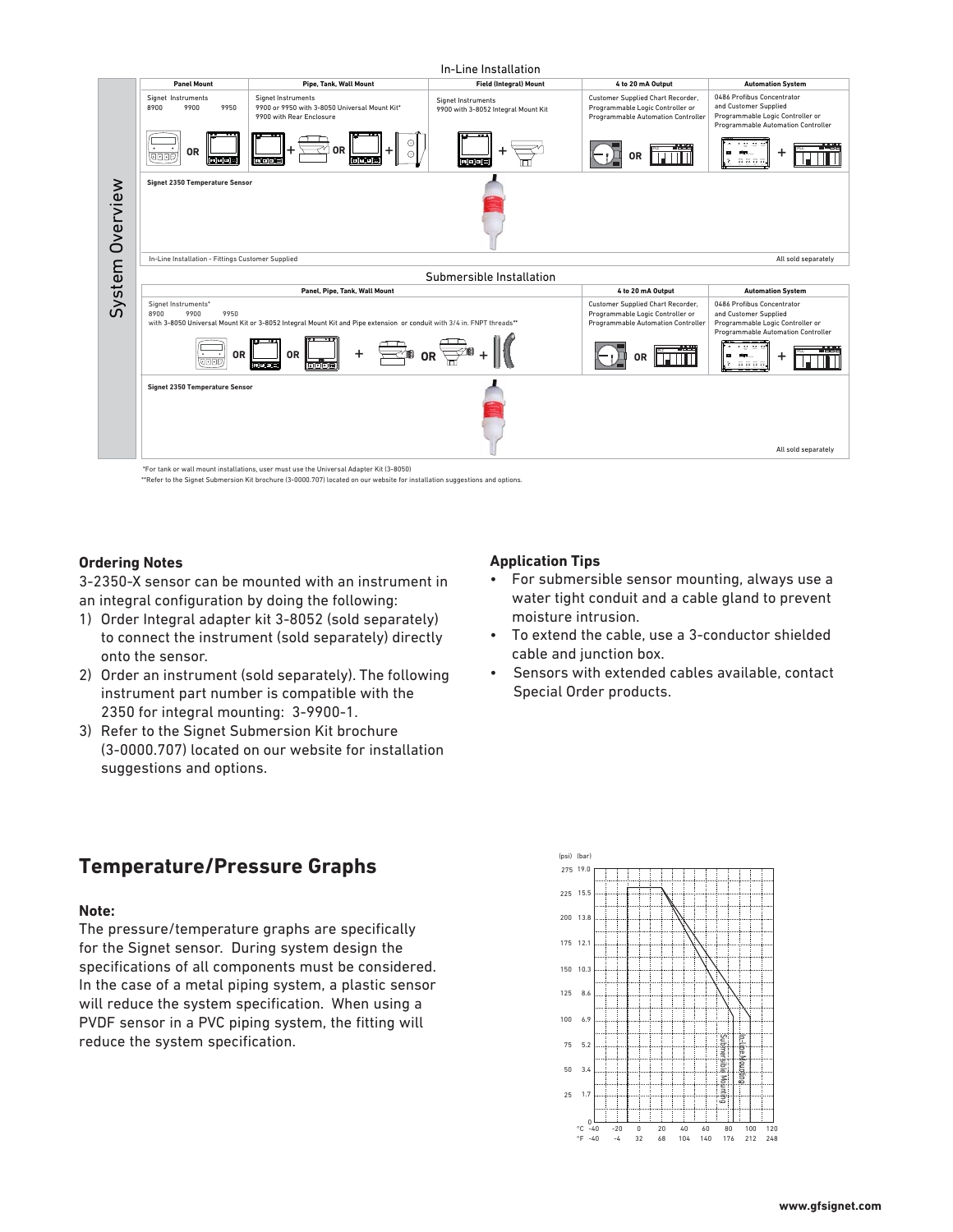

\*\*Refer to the Signet Submersion Kit brochure (3-0000.707) located on our website for installation suggestions and options.

#### **Ordering Notes**

3-2350-X sensor can be mounted with an instrument in an integral configuration by doing the following:

- 1) Order Integral adapter kit 3-8052 (sold separately) to connect the instrument (sold separately) directly onto the sensor.
- 2) Order an instrument (sold separately). The following instrument part number is compatible with the 2350 for integral mounting: 3-9900-1.
- 3) Refer to the Signet Submersion Kit brochure (3-0000.707) located on our website for installation suggestions and options.

#### **Application Tips**

- For submersible sensor mounting, always use a water tight conduit and a cable gland to prevent moisture intrusion.
- To extend the cable, use a 3-conductor shielded cable and junction box.
- Sensors with extended cables available, contact Special Order products.

## **Temperature/Pressure Graphs**

#### **Note:**

The pressure/temperature graphs are specifically for the Signet sensor. During system design the specifications of all components must be considered. In the case of a metal piping system, a plastic sensor will reduce the system specification. When using a PVDF sensor in a PVC piping system, the fitting will reduce the system specification.